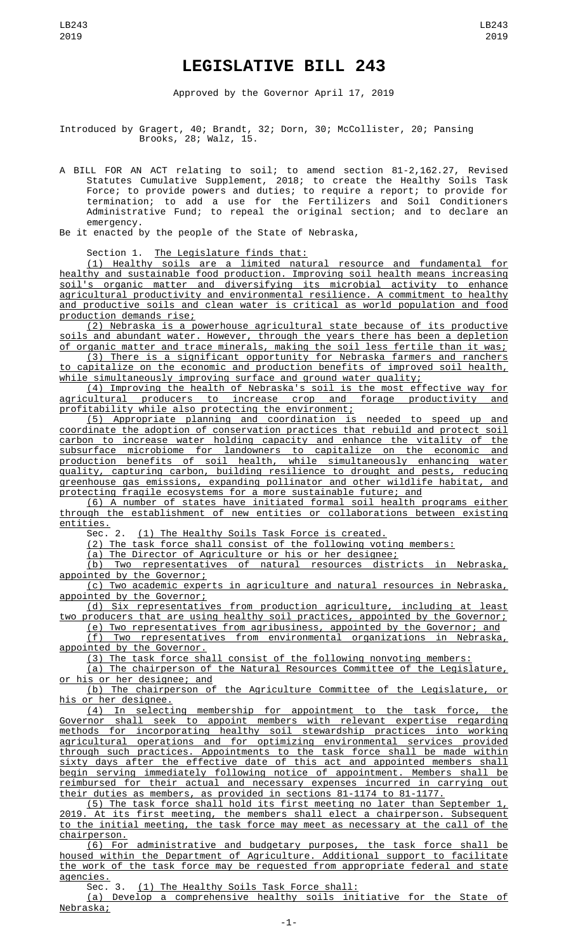## **LEGISLATIVE BILL 243**

Approved by the Governor April 17, 2019

Introduced by Gragert, 40; Brandt, 32; Dorn, 30; McCollister, 20; Pansing Brooks, 28; Walz, 15.

A BILL FOR AN ACT relating to soil; to amend section 81-2,162.27, Revised Statutes Cumulative Supplement, 2018; to create the Healthy Soils Task Force; to provide powers and duties; to require a report; to provide for termination; to add a use for the Fertilizers and Soil Conditioners Administrative Fund; to repeal the original section; and to declare an emergency.

Be it enacted by the people of the State of Nebraska,

Section 1. The Legislature finds that:

(1) Healthy soils are a limited natural resource and fundamental for healthy and sustainable food production. Improving soil health means increasing soil's organic matter and diversifying its microbial activity to enhance agricultural productivity and environmental resilience. A commitment to healthy and productive soils and clean water is critical as world population and food production demands rise;

(2) Nebraska is a powerhouse agricultural state because of its productive soils and abundant water. However, through the years there has been a depletion of organic matter and trace minerals, making the soil less fertile than it was;

(3) There is a significant opportunity for Nebraska farmers and ranchers to capitalize on the economic and production benefits of improved soil health, while simultaneously improving surface and ground water quality;

(4) Improving the health of Nebraska's soil is the most effective way for agricultural producers to increase crop and forage productivity and profitability while also protecting the environment;

(5) Appropriate planning and coordination is needed to speed up and coordinate the adoption of conservation practices that rebuild and protect soil carbon to increase water holding capacity and enhance the vitality of the subsurface microbiome for landowners to capitalize on the economic and production benefits of soil health, while simultaneously enhancing water quality, capturing carbon, building resilience to drought and pests, reducing greenhouse gas emissions, expanding pollinator and other wildlife habitat, and protecting fragile ecosystems for a more sustainable future; and

(6) A number of states have initiated formal soil health programs either through the establishment of new entities or collaborations between existing entities.

Sec. 2. (1) The Healthy Soils Task Force is created.

(2) The task force shall consist of the following voting members:

(a) The Director of Agriculture or his or her designee; (b) Two representatives of natural resources districts in Nebraska, appointed by the Governor;

(c) Two academic experts in agriculture and natural resources in Nebraska, appointed by the Governor;

(d) Six representatives from production agriculture, including at least two producers that are using healthy soil practices, appointed by the Governor;

(e) Two representatives from agribusiness, appointed by the Governor; and (f) Two representatives from environmental organizations in Nebraska, appointed by the Governor.

(3) The task force shall consist of the following nonvoting members:

(a) The chairperson of the Natural Resources Committee of the Legislature, or his or her designee; and

(b) The chairperson of the Agriculture Committee of the Legislature, or

his or her designee.<br>(4) In selecti (4) In selecting membership for appointment to the task force, the<br>Governor shall seek to appoint members with relevant expertise regarding shall seek to appoint members with relevant expertise regarding methods for incorporating healthy soil stewardship practices into working agricultural operations and for optimizing environmental services provided through such practices. Appointments to the task force shall be made within sixty days after the effective date of this act and appointed members shall begin serving immediately following notice of appointment. Members shall be reimbursed for their actual and necessary expenses incurred in carrying out their duties as members, as provided in sections 81-1174 to 81-1177.

(5) The task force shall hold its first meeting no later than September 1, 2019. At its first meeting, the members shall elect a chairperson. Subsequent to the initial meeting, the task force may meet as necessary at the call of the chairperson.

(6) For administrative and budgetary purposes, the task force shall be housed within the Department of Agriculture. Additional support to facilitate the work of the task force may be requested from appropriate federal and state agencies.

Sec. 3. (1) The Healthy Soils Task Force shall:

(a) Develop a comprehensive healthy soils initiative for the State of Nebraska;